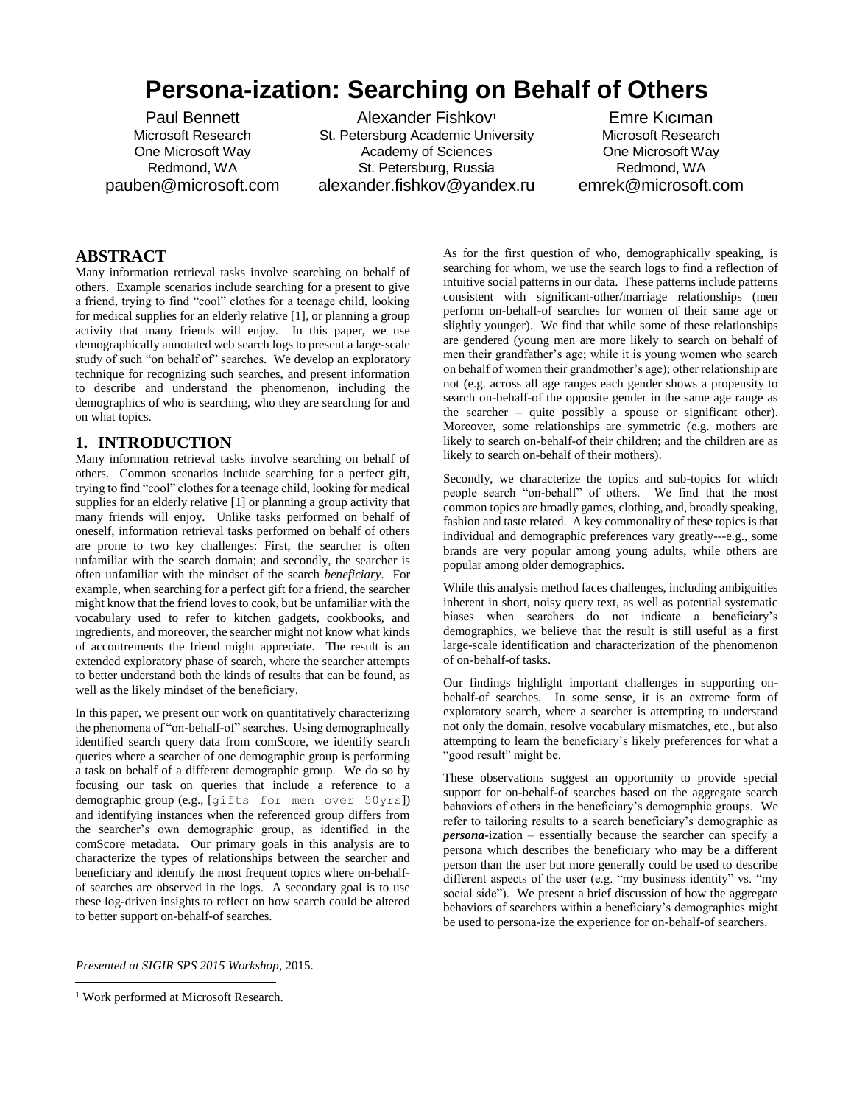# **Persona-ization: Searching on Behalf of Others**

Paul Bennett Microsoft Research One Microsoft Way Redmond, WA pauben@microsoft.com

Alexander Fishkov<sup>1</sup> St. Petersburg Academic University Academy of Sciences St. Petersburg, Russia alexander.fishkov@yandex.ru

Emre Kıcıman Microsoft Research One Microsoft Way Redmond, WA emrek@microsoft.com

# **ABSTRACT**

Many information retrieval tasks involve searching on behalf of others. Example scenarios include searching for a present to give a friend, trying to find "cool" clothes for a teenage child, looking for medical supplies for an elderly relative [\[1\],](#page-5-0) or planning a group activity that many friends will enjoy. In this paper, we use demographically annotated web search logs to present a large-scale study of such "on behalf of" searches. We develop an exploratory technique for recognizing such searches, and present information to describe and understand the phenomenon, including the demographics of who is searching, who they are searching for and on what topics.

## **1. INTRODUCTION**

Many information retrieval tasks involve searching on behalf of others. Common scenarios include searching for a perfect gift, trying to find "cool" clothes for a teenage child, looking for medical supplies for an elderly relativ[e \[1\]](#page-5-0) or planning a group activity that many friends will enjoy. Unlike tasks performed on behalf of oneself, information retrieval tasks performed on behalf of others are prone to two key challenges: First, the searcher is often unfamiliar with the search domain; and secondly, the searcher is often unfamiliar with the mindset of the search *beneficiary*. For example, when searching for a perfect gift for a friend, the searcher might know that the friend loves to cook, but be unfamiliar with the vocabulary used to refer to kitchen gadgets, cookbooks, and ingredients, and moreover, the searcher might not know what kinds of accoutrements the friend might appreciate. The result is an extended exploratory phase of search, where the searcher attempts to better understand both the kinds of results that can be found, as well as the likely mindset of the beneficiary.

In this paper, we present our work on quantitatively characterizing the phenomena of "on-behalf-of" searches. Using demographically identified search query data from comScore, we identify search queries where a searcher of one demographic group is performing a task on behalf of a different demographic group. We do so by focusing our task on queries that include a reference to a demographic group (e.g., [gifts for men over 50yrs]) and identifying instances when the referenced group differs from the searcher's own demographic group, as identified in the comScore metadata. Our primary goals in this analysis are to characterize the types of relationships between the searcher and beneficiary and identify the most frequent topics where on-behalfof searches are observed in the logs. A secondary goal is to use these log-driven insights to reflect on how search could be altered to better support on-behalf-of searches.

As for the first question of who, demographically speaking, is searching for whom, we use the search logs to find a reflection of intuitive social patterns in our data. These patterns include patterns consistent with significant-other/marriage relationships (men perform on-behalf-of searches for women of their same age or slightly younger). We find that while some of these relationships are gendered (young men are more likely to search on behalf of men their grandfather's age; while it is young women who search on behalf of women their grandmother's age); other relationship are not (e.g. across all age ranges each gender shows a propensity to search on-behalf-of the opposite gender in the same age range as the searcher – quite possibly a spouse or significant other). Moreover, some relationships are symmetric (e.g. mothers are likely to search on-behalf-of their children; and the children are as likely to search on-behalf of their mothers).

Secondly, we characterize the topics and sub-topics for which people search "on-behalf" of others. We find that the most common topics are broadly games, clothing, and, broadly speaking, fashion and taste related. A key commonality of these topics is that individual and demographic preferences vary greatly---e.g., some brands are very popular among young adults, while others are popular among older demographics.

While this analysis method faces challenges, including ambiguities inherent in short, noisy query text, as well as potential systematic biases when searchers do not indicate a beneficiary's demographics, we believe that the result is still useful as a first large-scale identification and characterization of the phenomenon of on-behalf-of tasks.

Our findings highlight important challenges in supporting onbehalf-of searches. In some sense, it is an extreme form of exploratory search, where a searcher is attempting to understand not only the domain, resolve vocabulary mismatches, etc., but also attempting to learn the beneficiary's likely preferences for what a "good result" might be.

These observations suggest an opportunity to provide special support for on-behalf-of searches based on the aggregate search behaviors of others in the beneficiary's demographic groups. We refer to tailoring results to a search beneficiary's demographic as *persona*-ization – essentially because the searcher can specify a persona which describes the beneficiary who may be a different person than the user but more generally could be used to describe different aspects of the user (e.g. "my business identity" vs. "my social side"). We present a brief discussion of how the aggregate behaviors of searchers within a beneficiary's demographics might be used to persona-ize the experience for on-behalf-of searchers.

*Presented at SIGIR SPS 2015 Workshop*, 2015.

 $\overline{a}$ 

<sup>1</sup> Work performed at Microsoft Research.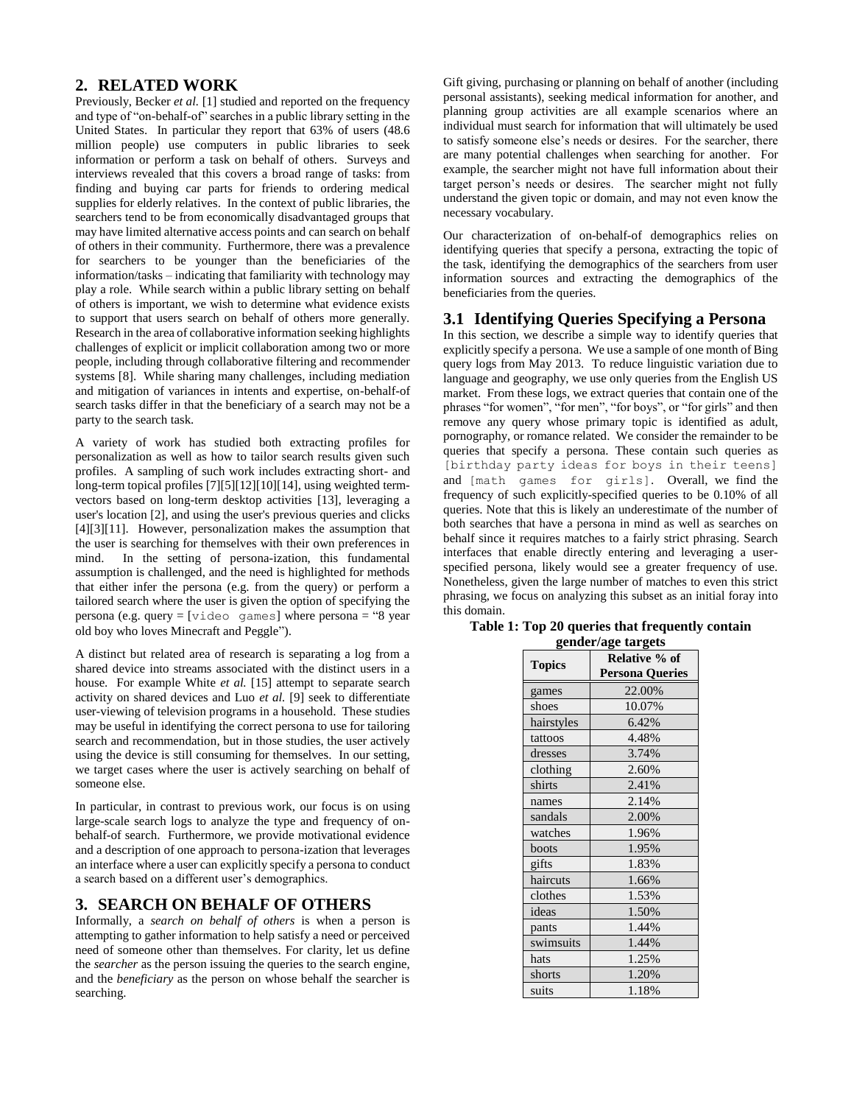## **2. RELATED WORK**

Previously, Becker *et al.* [\[1\]](#page-5-0) studied and reported on the frequency and type of "on-behalf-of" searches in a public library setting in the United States. In particular they report that 63% of users (48.6 million people) use computers in public libraries to seek information or perform a task on behalf of others. Surveys and interviews revealed that this covers a broad range of tasks: from finding and buying car parts for friends to ordering medical supplies for elderly relatives. In the context of public libraries, the searchers tend to be from economically disadvantaged groups that may have limited alternative access points and can search on behalf of others in their community. Furthermore, there was a prevalence for searchers to be younger than the beneficiaries of the information/tasks – indicating that familiarity with technology may play a role. While search within a public library setting on behalf of others is important, we wish to determine what evidence exists to support that users search on behalf of others more generally. Research in the area of collaborative information seeking highlights challenges of explicit or implicit collaboration among two or more people, including through collaborative filtering and recommender systems [\[8\].](#page-5-1) While sharing many challenges, including mediation and mitigation of variances in intents and expertise, on-behalf-of search tasks differ in that the beneficiary of a search may not be a party to the search task.

A variety of work has studied both extracting profiles for personalization as well as how to tailor search results given such profiles. A sampling of such work includes extracting short- and long-term topical profiles [\[7\]\[5\]](#page-5-2)[\[12\]\[10\]](#page-5-3)[\[14\],](#page-5-4) using weighted termvectors based on long-term desktop activities [\[13\],](#page-5-5) leveraging a user's location [\[2\],](#page-5-6) and using the user's previous queries and clicks [\[4\]\[3\]](#page-5-7)[\[11\].](#page-5-8) However, personalization makes the assumption that the user is searching for themselves with their own preferences in mind. In the setting of persona-ization, this fundamental assumption is challenged, and the need is highlighted for methods that either infer the persona (e.g. from the query) or perform a tailored search where the user is given the option of specifying the persona (e.g. query  $=$  [video games] where persona  $=$  "8 year old boy who loves Minecraft and Peggle").

A distinct but related area of research is separating a log from a shared device into streams associated with the distinct users in a house. For example White *et al.* [\[15\]](#page-5-9) attempt to separate search activity on shared devices and Luo *et al.* [\[9\]](#page-5-10) seek to differentiate user-viewing of television programs in a household. These studies may be useful in identifying the correct persona to use for tailoring search and recommendation, but in those studies, the user actively using the device is still consuming for themselves. In our setting, we target cases where the user is actively searching on behalf of someone else.

In particular, in contrast to previous work, our focus is on using large-scale search logs to analyze the type and frequency of onbehalf-of search. Furthermore, we provide motivational evidence and a description of one approach to persona-ization that leverages an interface where a user can explicitly specify a persona to conduct a search based on a different user's demographics.

#### **3. SEARCH ON BEHALF OF OTHERS**

Informally, a *search on behalf of others* is when a person is attempting to gather information to help satisfy a need or perceived need of someone other than themselves. For clarity, let us define the *searcher* as the person issuing the queries to the search engine, and the *beneficiary* as the person on whose behalf the searcher is searching.

Gift giving, purchasing or planning on behalf of another (including personal assistants), seeking medical information for another, and planning group activities are all example scenarios where an individual must search for information that will ultimately be used to satisfy someone else's needs or desires. For the searcher, there are many potential challenges when searching for another. For example, the searcher might not have full information about their target person's needs or desires. The searcher might not fully understand the given topic or domain, and may not even know the necessary vocabulary.

Our characterization of on-behalf-of demographics relies on identifying queries that specify a persona, extracting the topic of the task, identifying the demographics of the searchers from user information sources and extracting the demographics of the beneficiaries from the queries.

#### <span id="page-1-1"></span>**3.1 Identifying Queries Specifying a Persona**

In this section, we describe a simple way to identify queries that explicitly specify a persona. We use a sample of one month of Bing query logs from May 2013. To reduce linguistic variation due to language and geography, we use only queries from the English US market. From these logs, we extract queries that contain one of the phrases "for women", "for men", "for boys", or "for girls" and then remove any query whose primary topic is identified as adult, pornography, or romance related. We consider the remainder to be queries that specify a persona. These contain such queries as [birthday party ideas for boys in their teens] and [math games for girls]. Overall, we find the frequency of such explicitly-specified queries to be 0.10% of all queries. Note that this is likely an underestimate of the number of both searches that have a persona in mind as well as searches on behalf since it requires matches to a fairly strict phrasing. Search interfaces that enable directly entering and leveraging a userspecified persona, likely would see a greater frequency of use. Nonetheless, given the large number of matches to even this strict phrasing, we focus on analyzing this subset as an initial foray into this domain.

|               | Relative % of          |
|---------------|------------------------|
| <b>Topics</b> | <b>Persona Queries</b> |
| games         | 22.00%                 |
| shoes         | 10.07%                 |
| hairstyles    | 6.42%                  |
| tattoos       | 4.48%                  |
| dresses       | 3.74%                  |
| clothing      | 2.60%                  |
| shirts        | 2.41%                  |
| names         | 2.14%                  |
| sandals       | 2.00%                  |
| watches       | 1.96%                  |
| boots         | 1.95%                  |
| gifts         | 1.83%                  |
| haircuts      | 1.66%                  |
| clothes       | 1.53%                  |
| ideas         | 1.50%                  |
| pants         | 1.44%                  |
| swimsuits     | 1.44%                  |
| hats          | 1.25%                  |
| shorts        | 1.20%                  |
| suits         | 1.18%                  |

#### <span id="page-1-0"></span>**Table 1: Top 20 queries that frequently contain gender/age targets**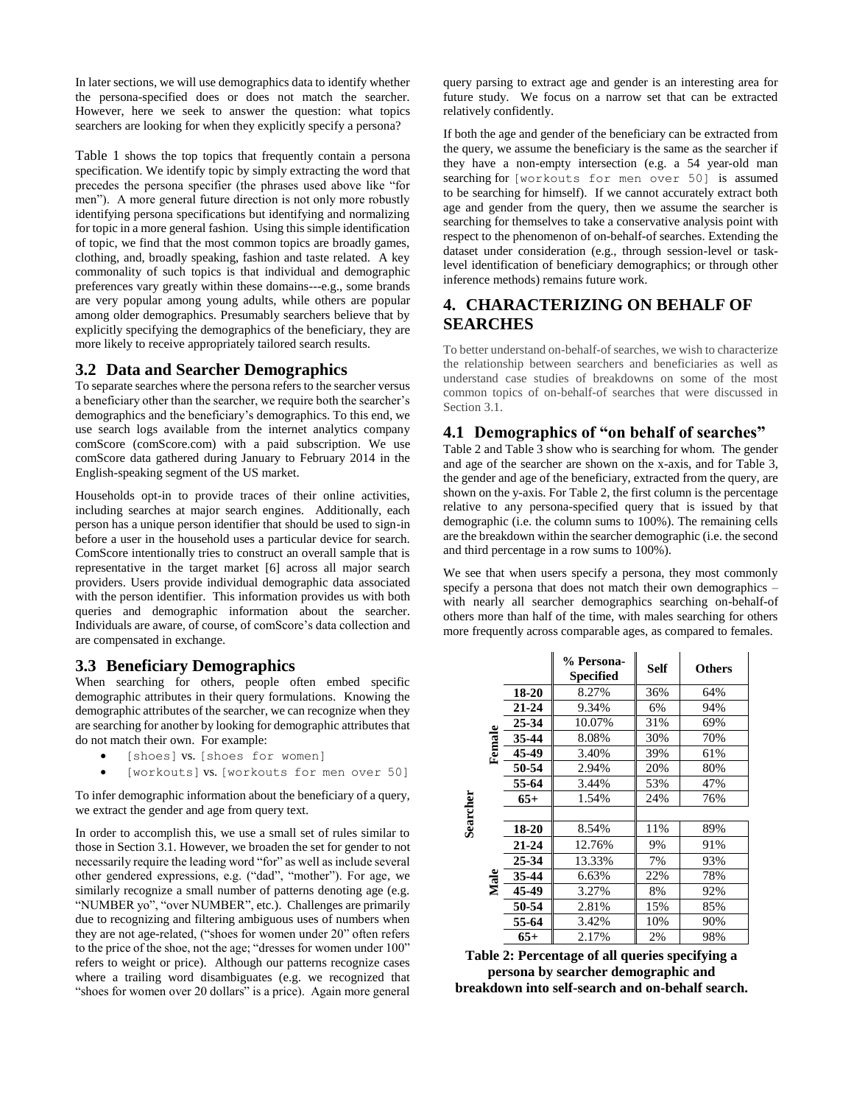In later sections, we will use demographics data to identify whether the persona-specified does or does not match the searcher. However, here we seek to answer the question: what topics searchers are looking for when they explicitly specify a persona?

[Table 1](#page-1-0) shows the top topics that frequently contain a persona specification. We identify topic by simply extracting the word that precedes the persona specifier (the phrases used above like "for men"). A more general future direction is not only more robustly identifying persona specifications but identifying and normalizing for topic in a more general fashion. Using this simple identification of topic, we find that the most common topics are broadly games, clothing, and, broadly speaking, fashion and taste related. A key commonality of such topics is that individual and demographic preferences vary greatly within these domains---e.g., some brands are very popular among young adults, while others are popular among older demographics. Presumably searchers believe that by explicitly specifying the demographics of the beneficiary, they are more likely to receive appropriately tailored search results.

#### **3.2 Data and Searcher Demographics**

To separate searches where the persona refers to the searcher versus a beneficiary other than the searcher, we require both the searcher's demographics and the beneficiary's demographics. To this end, we use search logs available from the internet analytics company comScore (comScore.com) with a paid subscription. We use comScore data gathered during January to February 2014 in the English-speaking segment of the US market.

Households opt-in to provide traces of their online activities, including searches at major search engines. Additionally, each person has a unique person identifier that should be used to sign-in before a user in the household uses a particular device for search. ComScore intentionally tries to construct an overall sample that is representative in the target market [\[6\]](#page-5-11) across all major search providers. Users provide individual demographic data associated with the person identifier. This information provides us with both queries and demographic information about the searcher. Individuals are aware, of course, of comScore's data collection and are compensated in exchange.

#### **3.3 Beneficiary Demographics**

When searching for others, people often embed specific demographic attributes in their query formulations. Knowing the demographic attributes of the searcher, we can recognize when they are searching for another by looking for demographic attributes that do not match their own. For example:

- [shoes] vs. [shoes for women]
- [workouts] vs. [workouts for men over 50]

To infer demographic information about the beneficiary of a query, we extract the gender and age from query text.

In order to accomplish this, we use a small set of rules similar to those in Sectio[n 3.1.](#page-1-1) However, we broaden the set for gender to not necessarily require the leading word "for" as well as include several other gendered expressions, e.g. ("dad", "mother"). For age, we similarly recognize a small number of patterns denoting age (e.g. "NUMBER yo", "over NUMBER", etc.). Challenges are primarily due to recognizing and filtering ambiguous uses of numbers when they are not age-related, ("shoes for women under 20" often refers to the price of the shoe, not the age; "dresses for women under 100" refers to weight or price). Although our patterns recognize cases where a trailing word disambiguates (e.g. we recognized that "shoes for women over 20 dollars" is a price). Again more general

query parsing to extract age and gender is an interesting area for future study. We focus on a narrow set that can be extracted relatively confidently.

If both the age and gender of the beneficiary can be extracted from the query, we assume the beneficiary is the same as the searcher if they have a non-empty intersection (e.g. a 54 year-old man searching for [workouts for men over 50] is assumed to be searching for himself). If we cannot accurately extract both age and gender from the query, then we assume the searcher is searching for themselves to take a conservative analysis point with respect to the phenomenon of on-behalf-of searches. Extending the dataset under consideration (e.g., through session-level or tasklevel identification of beneficiary demographics; or through other inference methods) remains future work.

# **4. CHARACTERIZING ON BEHALF OF SEARCHES**

To better understand on-behalf-of searches, we wish to characterize the relationship between searchers and beneficiaries as well as understand case studies of breakdowns on some of the most common topics of on-behalf-of searches that were discussed in Section [3.1.](#page-1-1) 

## <span id="page-2-1"></span>**4.1 Demographics of "on behalf of searches"**

[Table 2](#page-2-0) an[d Table 3](#page-3-0) show who is searching for whom. The gender and age of the searcher are shown on the x-axis, and for [Table 3,](#page-3-0) the gender and age of the beneficiary, extracted from the query, are shown on the y-axis. Fo[r Table 2,](#page-2-0) the first column is the percentage relative to any persona-specified query that is issued by that demographic (i.e. the column sums to 100%). The remaining cells are the breakdown within the searcher demographic (i.e. the second and third percentage in a row sums to 100%).

We see that when users specify a persona, they most commonly specify a persona that does not match their own demographics – with nearly all searcher demographics searching on-behalf-of others more than half of the time, with males searching for others more frequently across comparable ages, as compared to females.

|          |        |           | % Persona-<br>Specified | <b>Self</b> | <b>Others</b> |
|----------|--------|-----------|-------------------------|-------------|---------------|
|          |        | 18-20     | 8.27%                   | 36%         | 64%           |
|          |        | $21 - 24$ | 9.34%                   | 6%          | 94%           |
|          |        | 25-34     | 10.07%                  | 31%         | 69%           |
|          |        | 35-44     | 8.08%                   | 30%         | 70%           |
|          | Female | 45-49     | 3.40%                   | 39%         | 61%           |
|          |        | 50-54     | 2.94%                   | 20%         | 80%           |
|          |        | 55-64     | 3.44%                   | 53%         | 47%           |
| Searcher |        | $65+$     | 1.54%                   | 24%         | 76%           |
|          |        |           |                         |             |               |
|          |        | 18-20     | 8.54%                   | 11%         | 89%           |
|          |        | 21-24     | 12.76%                  | 9%          | 91%           |
|          |        | 25-34     | 13.33%                  | 7%          | 93%           |
|          | Male   | 35-44     | 6.63%                   | 22%         | 78%           |
|          |        | 45-49     | 3.27%                   | 8%          | 92%           |
|          |        | 50-54     | 2.81%                   | 15%         | 85%           |
|          |        | 55-64     | 3.42%                   | 10%         | 90%           |
|          |        | $65+$     | 2.17%                   | 2%          | 98%           |

<span id="page-2-0"></span>

| Table 2: Percentage of all queries specifying a  |
|--------------------------------------------------|
| persona by searcher demographic and              |
| breakdown into self-search and on-behalf search. |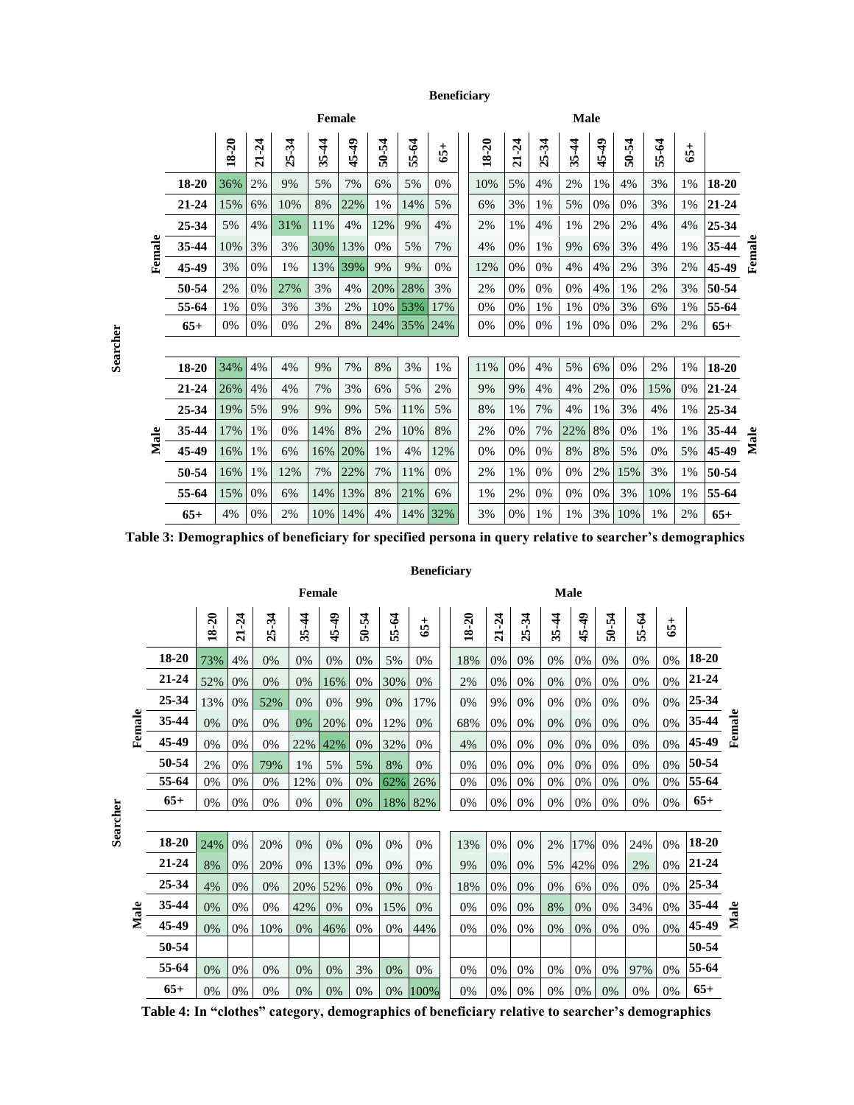**Beneficiary**

|        | Female    |       |                         |             |           |                                 |       |         |       |  |       | <b>Male</b>             |                         |           |                             |          |                            |       |           |        |  |  |
|--------|-----------|-------|-------------------------|-------------|-----------|---------------------------------|-------|---------|-------|--|-------|-------------------------|-------------------------|-----------|-----------------------------|----------|----------------------------|-------|-----------|--------|--|--|
|        |           | 18-20 | $-24$<br>$\overline{a}$ | $-34$<br>25 | र्न<br>35 | $\frac{6}{7}$<br><b>In</b><br>₩ | 50-54 | ई<br>55 | $65+$ |  | 18-20 | $-24$<br>$\overline{a}$ | $-34$<br><b>In</b><br>Ñ | र्न<br>35 | $\frac{6}{7}$<br>$\ddot{4}$ | -54<br>೯ | $\mathcal{L}$<br>ιñ<br>uni | $65+$ |           |        |  |  |
|        | 18-20     | 36%   | 2%                      | 9%          | 5%        | 7%                              | 6%    | 5%      | 0%    |  | 10%   | 5%                      | 4%                      | 2%        | 1%                          | 4%       | 3%                         | 1%    | 18-20     |        |  |  |
| Female | $21 - 24$ | 15%   | 6%                      | 10%         | 8%        | 22%                             | 1%    | 14%     | 5%    |  | 6%    | 3%                      | 1%                      | 5%        | 0%                          | 0%       | 3%                         | 1%    | $21 - 24$ |        |  |  |
|        | 25-34     | 5%    | 4%                      | 31%         | 11%       | 4%                              | 12%   | 9%      | 4%    |  | 2%    | 1%                      | 4%                      | 1%        | 2%                          | 2%       | 4%                         | 4%    | 25-34     | Female |  |  |
|        | 35-44     | 10%   | 3%                      | 3%          | 30%       | 13%                             | 0%    | 5%      | 7%    |  | 4%    | 0%                      | 1%                      | 9%        | 6%                          | 3%       | 4%                         | 1%    | 35-44     |        |  |  |
|        | 45-49     | 3%    | 0%                      | 1%          | 13%       | 39%                             | 9%    | 9%      | 0%    |  | 12%   | 0%                      | 0%                      | 4%        | 4%                          | 2%       | 3%                         | 2%    | 45-49     |        |  |  |
|        | 50-54     | 2%    | 0%                      | 27%         | 3%        | 4%                              | 20%   | 28%     | 3%    |  | 2%    | 0%                      | 0%                      | 0%        | 4%                          | $1\%$    | 2%                         | 3%    | 50-54     |        |  |  |
|        | 55-64     | $1\%$ | 0%                      | 3%          | 3%        | 2%                              | 10%   | 53%     | 17%   |  | 0%    | 0%                      | 1%                      | 1%        | 0%                          | 3%       | 6%                         | 1%    | 55-64     |        |  |  |
|        | $65+$     | 0%    | 0%                      | 0%          | 2%        | 8%                              | 24%   | 35%     | 24%   |  | 0%    | 0%                      | 0%                      | 1%        | 0%                          | 0%       | 2%                         | 2%    | $65+$     |        |  |  |
|        |           |       |                         |             |           |                                 |       |         |       |  |       |                         |                         |           |                             |          |                            |       |           |        |  |  |
|        | 18-20     | 34%   | 4%                      | 4%          | 9%        | 7%                              | 8%    | 3%      | 1%    |  | 11%   | 0%                      | 4%                      | 5%        | 6%                          | 0%       | 2%                         | 1%    | 18-20     |        |  |  |
|        | 21-24     | 26%   | 4%                      | 4%          | 7%        | 3%                              | 6%    | 5%      | 2%    |  | 9%    | 9%                      | 4%                      | 4%        | 2%                          | 0%       | 15%                        | 0%    | 21-24     |        |  |  |
|        | 25-34     | 19%   | 5%                      | 9%          | 9%        | 9%                              | 5%    | 11%     | 5%    |  | 8%    | 1%                      | 7%                      | 4%        | $1\%$                       | 3%       | 4%                         | 1%    | 25-34     |        |  |  |
|        | 35-44     | 17%   | 1%                      | 0%          | 14%       | 8%                              | 2%    | 10%     | 8%    |  | 2%    | 0%                      | 7%                      | 22%       | 8%                          | 0%       | 1%                         | 1%    | 35-44     | Male   |  |  |
| Male   | 45-49     | 16%   | 1%                      | 6%          | 16%       | 20%                             | 1%    | 4%      | 12%   |  | 0%    | 0%                      | 0%                      | 8%        | 8%                          | 5%       | 0%                         | 5%    | 45-49     |        |  |  |
|        | 50-54     | 16%   | 1%                      | 12%         | 7%        | 22%                             | 7%    | 11%     | 0%    |  | 2%    | 1%                      | 0%                      | 0%        | 2%                          | 15%      | 3%                         | 1%    | 50-54     |        |  |  |
|        | 55-64     | 15%   | 0%                      | 6%          | 14%       | 13%                             | 8%    | 21%     | 6%    |  | 1%    | 2%                      | 0%                      | 0%        | 0%                          | 3%       | 10%                        | 1%    | 55-64     |        |  |  |
|        | $65+$     | 4%    | 0%                      | 2%          | 10%       | 14%                             | 4%    | 14%     | 32%   |  | 3%    | 0%                      | 1%                      | 1%        | 3%                          | 10%      | 1%                         | 2%    | $65+$     |        |  |  |

<span id="page-3-0"></span>**Table 3: Demographics of beneficiary for specified persona in query relative to searcher's demographics**

## **Beneficiary**

|        |       |       |                         |       | Female        |               |       |              |       | <b>Male</b> |                         |             |               |               |       |             |       |           |        |
|--------|-------|-------|-------------------------|-------|---------------|---------------|-------|--------------|-------|-------------|-------------------------|-------------|---------------|---------------|-------|-------------|-------|-----------|--------|
|        |       | 18-20 | $-24$<br>$\overline{a}$ | 25-34 | $5 - 44$<br>ಣ | $5 - 49$<br>₩ | 50-54 | 5-64<br>uni. | $65+$ | 18-20       | $-24$<br>$\overline{a}$ | $5-34$<br>Ñ | $5 - 44$<br>m | $5 - 49$<br>₩ | 50-54 | 5-64<br>uni | $65+$ |           |        |
|        | 18-20 | 73%   | 4%                      | 0%    | 0%            | 0%            | 0%    | 5%           | 0%    | 18%         | 0%                      | 0%          | 0%            | 0%            | 0%    | 0%          | 0%    | 18-20     |        |
|        | 21-24 | 52%   | 0%                      | 0%    | 0%            | 16%           | 0%    | 30%          | 0%    | 2%          | 0%                      | 0%          | 0%            | 0%            | 0%    | 0%          | 0%    | $21 - 24$ |        |
|        | 25-34 | 13%   | 0%                      | 52%   | 0%            | 0%            | 9%    | 0%           | 17%   | 0%          | 9%                      | 0%          | 0%            | 0%            | 0%    | 0%          | 0%    | 25-34     |        |
| Female | 35-44 | 0%    | 0%                      | 0%    | 0%            | 20%           | 0%    | 12%          | 0%    | 68%         | 0%                      | 0%          | 0%            | 0%            | 0%    | 0%          | 0%    | 35-44     | Female |
|        | 45-49 | 0%    | 0%                      | 0%    | 22%           | 42%           | 0%    | 32%          | 0%    | 4%          | 0%                      | 0%          | 0%            | 0%            | 0%    | 0%          | 0%    | 45-49     |        |
|        | 50-54 | 2%    | 0%                      | 79%   | 1%            | 5%            | 5%    | 8%           | 0%    | 0%          | 0%                      | 0%          | 0%            | 0%            | 0%    | 0%          | 0%    | 50-54     |        |
|        | 55-64 | 0%    | 0%                      | 0%    | 12%           | 0%            | 0%    | 62%          | 26%   | 0%          | 0%                      | 0%          | 0%            | 0%            | 0%    | 0%          | 0%    | 55-64     |        |
|        | $65+$ | 0%    | 0%                      | 0%    | 0%            | 0%            | 0%    | 18%          | 82%   | 0%          | 0%                      | 0%          | 0%            | 0%            | 0%    | 0%          | 0%    | $65+$     |        |
|        |       |       |                         |       |               |               |       |              |       |             |                         |             |               |               |       |             |       |           |        |
|        | 18-20 | 24%   | 0%                      | 20%   | 0%            | 0%            | 0%    | 0%           | 0%    | 13%         | 0%                      | 0%          | 2%            | 17%           | 0%    | 24%         | 0%    | 18-20     |        |
|        | 21-24 | 8%    | 0%                      | 20%   | 0%            | 13%           | 0%    | 0%           | 0%    | 9%          | 0%                      | 0%          | 5%            | 42%           | 0%    | 2%          | 0%    | $21 - 24$ |        |
|        | 25-34 | 4%    | 0%                      | 0%    | 20%           | 52%           | 0%    | 0%           | 0%    | 18%         | 0%                      | 0%          | 0%            | 6%            | 0%    | 0%          | 0%    | 25-34     |        |
| Male   | 35-44 | 0%    | 0%                      | 0%    | 42%           | 0%            | 0%    | 15%          | 0%    | 0%          | 0%                      | 0%          | $8\%$         | 0%            | 0%    | 34%         | 0%    | 35-44     | Male   |
|        | 45-49 | 0%    | 0%                      | 10%   | 0%            | 46%           | 0%    | 0%           | 44%   | 0%          | 0%                      | 0%          | 0%            | 0%            | 0%    | 0%          | 0%    | 45-49     |        |
|        | 50-54 |       |                         |       |               |               |       |              |       |             |                         |             |               |               |       |             |       | 50-54     |        |
|        | 55-64 | 0%    | 0%                      | 0%    | 0%            | 0%            | 3%    | 0%           | 0%    | 0%          | 0%                      | 0%          | 0%            | 0%            | 0%    | 97%         | 0%    | 55-64     |        |
|        | $65+$ | 0%    | 0%                      | 0%    | 0%            | 0%            | 0%    | 0%           | 100%  | 0%          | 0%                      | 0%          | 0%            | 0%            | 0%    | 0%          | 0%    | $65+$     |        |

<span id="page-3-1"></span>**Table 4: In "clothes" category, demographics of beneficiary relative to searcher's demographics**

**Searcher**

**Searcher**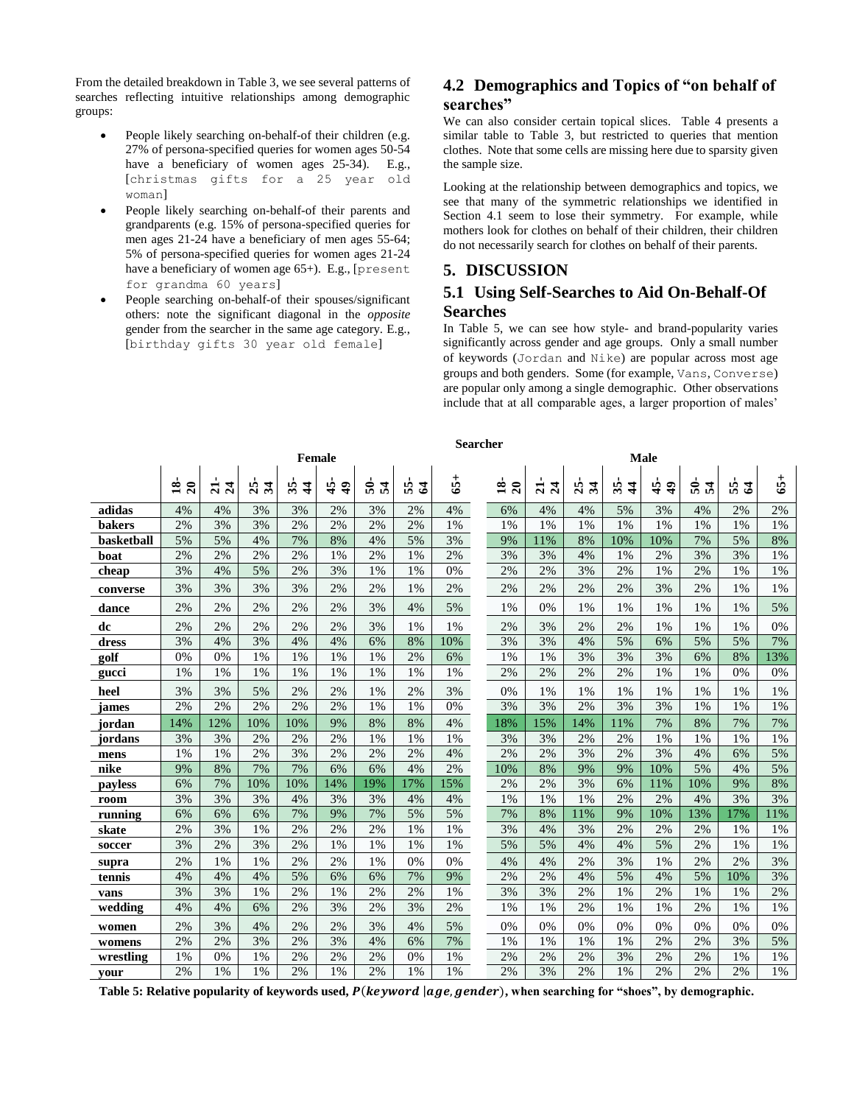From the detailed breakdown i[n Table 3,](#page-3-0) we see several patterns of searches reflecting intuitive relationships among demographic groups:

- People likely searching on-behalf-of their children (e.g. 27% of persona-specified queries for women ages 50-54 have a beneficiary of women ages 25-34). E.g., [christmas gifts for a 25 year old woman]
- People likely searching on-behalf-of their parents and grandparents (e.g. 15% of persona-specified queries for men ages 21-24 have a beneficiary of men ages 55-64; 5% of persona-specified queries for women ages 21-24 have a beneficiary of women age 65+). E.g., [present for grandma 60 years]
- People searching on-behalf-of their spouses/significant others: note the significant diagonal in the *opposite*  gender from the searcher in the same age category. E.g., [birthday gifts 30 year old female]

# **4.2 Demographics and Topics of "on behalf of searches"**

We can also consider certain topical slices. [Table 4](#page-3-1) presents a similar table to [Table 3,](#page-3-0) but restricted to queries that mention clothes. Note that some cells are missing here due to sparsity given the sample size.

Looking at the relationship between demographics and topics, we see that many of the symmetric relationships we identified in Section [4.1](#page-2-1) seem to lose their symmetry. For example, while mothers look for clothes on behalf of their children, their children do not necessarily search for clothes on behalf of their parents.

## **5. DISCUSSION**

## **5.1 Using Self-Searches to Aid On-Behalf-Of Searches**

In [Table 5,](#page-4-0) we can see how style- and brand-popularity varies significantly across gender and age groups. Only a small number of keywords (Jordan and Nike) are popular across most age groups and both genders. Some (for example, Vans, Converse) are popular only among a single demographic. Other observations include that at all comparable ages, a larger proportion of males'

|               | Female<br>$65+$<br>$\mathbf{\dot{a}}$<br>$\overline{20}$<br>25<br>$\boldsymbol{34}$<br>35<br>$\frac{4}{5}$<br>$\ddot{ }$<br>$\overline{5}$<br>54<br>$\overline{z}$<br>$\overline{24}$<br>55<br>$\mathfrak{A}$<br>$\frac{4}{5}$<br>3%<br>2%<br>4%<br>4%<br>3%<br>3%<br>2%<br>4%<br>3%<br>2%<br>2%<br>3%<br>2%<br>2%<br>2%<br>1% |     |     |     |     |     |     |     |  |                                        | Male                              |                         |                     |                             |       |                       |       |  |  |  |  |
|---------------|--------------------------------------------------------------------------------------------------------------------------------------------------------------------------------------------------------------------------------------------------------------------------------------------------------------------------------|-----|-----|-----|-----|-----|-----|-----|--|----------------------------------------|-----------------------------------|-------------------------|---------------------|-----------------------------|-------|-----------------------|-------|--|--|--|--|
|               |                                                                                                                                                                                                                                                                                                                                |     |     |     |     |     |     |     |  | $\mathbf{\hat{s}}$<br>$\boldsymbol{z}$ | $\overline{24}$<br>$\overline{a}$ | $\boldsymbol{34}$<br>25 | 35<br>$\frac{4}{3}$ | $\ddot{ }$<br>$\frac{4}{5}$ | តិ ដឹ | 55.<br>$\mathfrak{A}$ | $65+$ |  |  |  |  |
| adidas        |                                                                                                                                                                                                                                                                                                                                |     |     |     |     |     |     |     |  | 6%                                     | 4%                                | 4%                      | 5%                  | 3%                          | 4%    | 2%                    | 2%    |  |  |  |  |
| <b>bakers</b> |                                                                                                                                                                                                                                                                                                                                |     |     |     |     |     |     |     |  | 1%                                     | 1%                                | 1%                      | 1%                  | 1%                          | 1%    | 1%                    | 1%    |  |  |  |  |
| basketball    | 5%                                                                                                                                                                                                                                                                                                                             | 5%  | 4%  | 7%  | 8%  | 4%  | 5%  | 3%  |  | 9%                                     | 11%                               | 8%                      | 10%                 | 10%                         | 7%    | 5%                    | 8%    |  |  |  |  |
| boat          | 2%                                                                                                                                                                                                                                                                                                                             | 2%  | 2%  | 2%  | 1%  | 2%  | 1%  | 2%  |  | 3%                                     | 3%                                | 4%                      | 1%                  | 2%                          | 3%    | 3%                    | 1%    |  |  |  |  |
| cheap         | 3%                                                                                                                                                                                                                                                                                                                             | 4%  | 5%  | 2%  | 3%  | 1%  | 1%  | 0%  |  | 2%                                     | 2%                                | 3%                      | 2%                  | 1%                          | 2%    | 1%                    | 1%    |  |  |  |  |
| converse      | 3%                                                                                                                                                                                                                                                                                                                             | 3%  | 3%  | 3%  | 2%  | 2%  | 1%  | 2%  |  | 2%                                     | 2%                                | 2%                      | 2%                  | 3%                          | 2%    | 1%                    | 1%    |  |  |  |  |
| dance         | 2%                                                                                                                                                                                                                                                                                                                             | 2%  | 2%  | 2%  | 2%  | 3%  | 4%  | 5%  |  | 1%                                     | 0%                                | 1%                      | 1%                  | 1%                          | 1%    | 1%                    | 5%    |  |  |  |  |
| dc            | 2%                                                                                                                                                                                                                                                                                                                             | 2%  | 2%  | 2%  | 2%  | 3%  | 1%  | 1%  |  | 2%                                     | 3%                                | 2%                      | 2%                  | 1%                          | 1%    | 1%                    | 0%    |  |  |  |  |
| dress         | 3%                                                                                                                                                                                                                                                                                                                             | 4%  | 3%  | 4%  | 4%  | 6%  | 8%  | 10% |  | 3%                                     | 3%                                | 4%                      | 5%                  | 6%                          | 5%    | 5%                    | 7%    |  |  |  |  |
| golf          | 0%                                                                                                                                                                                                                                                                                                                             | 0%  | 1%  | 1%  | 1%  | 1%  | 2%  | 6%  |  | 1%                                     | 1%                                | 3%                      | 3%                  | 3%                          | 6%    | 8%                    | 13%   |  |  |  |  |
| gucci         | 1%                                                                                                                                                                                                                                                                                                                             | 1%  | 1%  | 1%  | 1%  | 1%  | 1%  | 1%  |  | 2%                                     | 2%                                | 2%                      | 2%                  | 1%                          | 1%    | 0%                    | 0%    |  |  |  |  |
| heel          | 3%                                                                                                                                                                                                                                                                                                                             | 3%  | 5%  | 2%  | 2%  | 1%  | 2%  | 3%  |  | 0%                                     | 1%                                | 1%                      | 1%                  | 1%                          | 1%    | 1%                    | 1%    |  |  |  |  |
| james         | 2%                                                                                                                                                                                                                                                                                                                             | 2%  | 2%  | 2%  | 2%  | 1%  | 1%  | 0%  |  | 3%                                     | 3%                                | 2%                      | 3%                  | 3%                          | 1%    | 1%                    | 1%    |  |  |  |  |
| jordan        | 14%                                                                                                                                                                                                                                                                                                                            | 12% | 10% | 10% | 9%  | 8%  | 8%  | 4%  |  | 18%                                    | 15%                               | 14%                     | 11%                 | 7%                          | 8%    | 7%                    | 7%    |  |  |  |  |
| jordans       | 3%                                                                                                                                                                                                                                                                                                                             | 3%  | 2%  | 2%  | 2%  | 1%  | 1%  | 1%  |  | 3%                                     | 3%                                | 2%                      | 2%                  | 1%                          | 1%    | 1%                    | 1%    |  |  |  |  |
| mens          | 1%                                                                                                                                                                                                                                                                                                                             | 1%  | 2%  | 3%  | 2%  | 2%  | 2%  | 4%  |  | 2%                                     | 2%                                | 3%                      | 2%                  | 3%                          | 4%    | 6%                    | 5%    |  |  |  |  |
| nike          | 9%                                                                                                                                                                                                                                                                                                                             | 8%  | 7%  | 7%  | 6%  | 6%  | 4%  | 2%  |  | 10%                                    | 8%                                | 9%                      | 9%                  | 10%                         | 5%    | 4%                    | 5%    |  |  |  |  |
| payless       | 6%                                                                                                                                                                                                                                                                                                                             | 7%  | 10% | 10% | 14% | 19% | 17% | 15% |  | 2%                                     | 2%                                | 3%                      | 6%                  | 11%                         | 10%   | 9%                    | 8%    |  |  |  |  |
| room          | 3%                                                                                                                                                                                                                                                                                                                             | 3%  | 3%  | 4%  | 3%  | 3%  | 4%  | 4%  |  | 1%                                     | 1%                                | 1%                      | 2%                  | 2%                          | 4%    | 3%                    | 3%    |  |  |  |  |
| running       | 6%                                                                                                                                                                                                                                                                                                                             | 6%  | 6%  | 7%  | 9%  | 7%  | 5%  | 5%  |  | 7%                                     | 8%                                | 11%                     | 9%                  | 10%                         | 13%   | 17%                   | 11%   |  |  |  |  |
| skate         | 2%                                                                                                                                                                                                                                                                                                                             | 3%  | 1%  | 2%  | 2%  | 2%  | 1%  | 1%  |  | 3%                                     | 4%                                | 3%                      | 2%                  | 2%                          | 2%    | 1%                    | 1%    |  |  |  |  |
| soccer        | 3%                                                                                                                                                                                                                                                                                                                             | 2%  | 3%  | 2%  | 1%  | 1%  | 1%  | 1%  |  | 5%                                     | 5%                                | 4%                      | 4%                  | 5%                          | 2%    | 1%                    | 1%    |  |  |  |  |
| supra         | 2%                                                                                                                                                                                                                                                                                                                             | 1%  | 1%  | 2%  | 2%  | 1%  | 0%  | 0%  |  | 4%                                     | 4%                                | 2%                      | 3%                  | 1%                          | 2%    | 2%                    | 3%    |  |  |  |  |
| tennis        | 4%                                                                                                                                                                                                                                                                                                                             | 4%  | 4%  | 5%  | 6%  | 6%  | 7%  | 9%  |  | 2%                                     | 2%                                | 4%                      | 5%                  | 4%                          | 5%    | 10%                   | 3%    |  |  |  |  |
| vans          | 3%                                                                                                                                                                                                                                                                                                                             | 3%  | 1%  | 2%  | 1%  | 2%  | 2%  | 1%  |  | 3%                                     | 3%                                | 2%                      | 1%                  | 2%                          | 1%    | 1%                    | 2%    |  |  |  |  |
| wedding       | 4%                                                                                                                                                                                                                                                                                                                             | 4%  | 6%  | 2%  | 3%  | 2%  | 3%  | 2%  |  | 1%                                     | 1%                                | 2%                      | 1%                  | 1%                          | 2%    | 1%                    | 1%    |  |  |  |  |
| women         | 2%                                                                                                                                                                                                                                                                                                                             | 3%  | 4%  | 2%  | 2%  | 3%  | 4%  | 5%  |  | 0%                                     | 0%                                | 0%                      | 0%                  | 0%                          | 0%    | 0%                    | 0%    |  |  |  |  |
| womens        | 2%                                                                                                                                                                                                                                                                                                                             | 2%  | 3%  | 2%  | 3%  | 4%  | 6%  | 7%  |  | 1%                                     | 1%                                | 1%                      | 1%                  | 2%                          | 2%    | 3%                    | 5%    |  |  |  |  |
| wrestling     | 1%                                                                                                                                                                                                                                                                                                                             | 0%  | 1%  | 2%  | 2%  | 2%  | 0%  | 1%  |  | 2%                                     | 2%                                | 2%                      | 3%                  | 2%                          | 2%    | 1%                    | 1%    |  |  |  |  |
| your          | 2%                                                                                                                                                                                                                                                                                                                             | 1%  | 1%  | 2%  | 1%  | 2%  | 1%  | 1%  |  | 2%                                     | 3%                                | 2%                      | 1%                  | 2%                          | 2%    | 2%                    | 1%    |  |  |  |  |

<span id="page-4-0"></span>Table 5: Relative popularity of keywords used,  $P(keyword | age, gender)$ , when searching for "shoes", by demographic.

#### **Searcher**